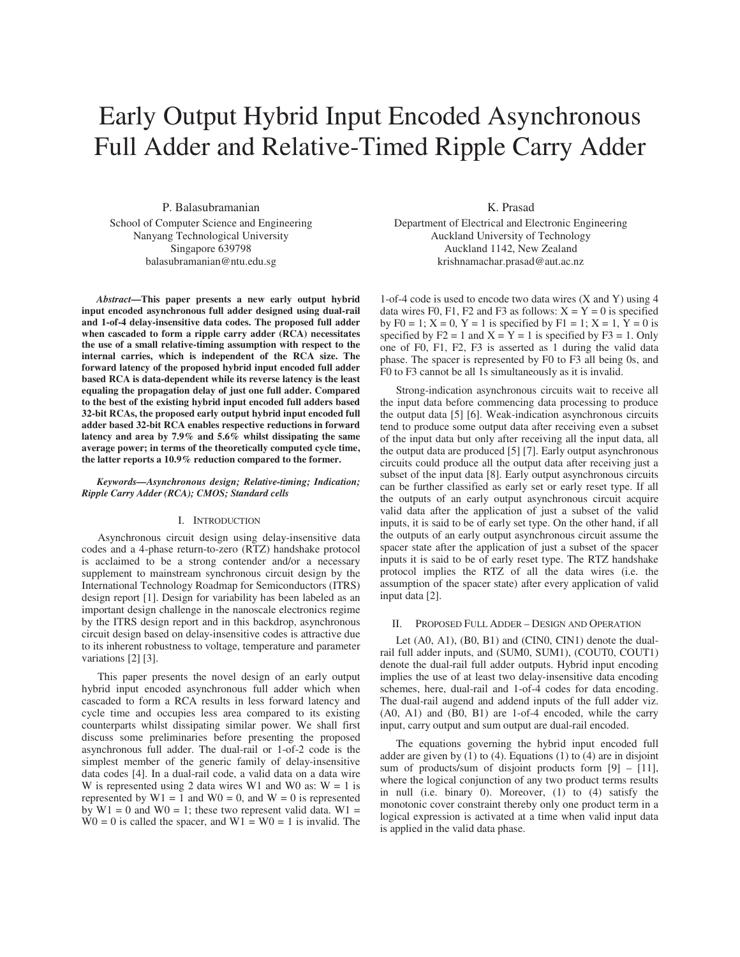# Early Output Hybrid Input Encoded Asynchronous Full Adder and Relative-Timed Ripple Carry Adder

P. Balasubramanian School of Computer Science and Engineering Nanyang Technological University Singapore 639798 balasubramanian@ntu.edu.sg

*Abstract***—This paper presents a new early output hybrid input encoded asynchronous full adder designed using dual-rail and 1-of-4 delay-insensitive data codes. The proposed full adder when cascaded to form a ripple carry adder (RCA) necessitates the use of a small relative-timing assumption with respect to the internal carries, which is independent of the RCA size. The forward latency of the proposed hybrid input encoded full adder based RCA is data-dependent while its reverse latency is the least equaling the propagation delay of just one full adder. Compared to the best of the existing hybrid input encoded full adders based 32-bit RCAs, the proposed early output hybrid input encoded full adder based 32-bit RCA enables respective reductions in forward latency and area by 7.9% and 5.6% whilst dissipating the same average power; in terms of the theoretically computed cycle time, the latter reports a 10.9% reduction compared to the former.** 

# *Keywords—Asynchronous design; Relative-timing; Indication; Ripple Carry Adder (RCA); CMOS; Standard cells*

## I. INTRODUCTION

Asynchronous circuit design using delay-insensitive data codes and a 4-phase return-to-zero (RTZ) handshake protocol is acclaimed to be a strong contender and/or a necessary supplement to mainstream synchronous circuit design by the International Technology Roadmap for Semiconductors (ITRS) design report [1]. Design for variability has been labeled as an important design challenge in the nanoscale electronics regime by the ITRS design report and in this backdrop, asynchronous circuit design based on delay-insensitive codes is attractive due to its inherent robustness to voltage, temperature and parameter variations [2] [3].

This paper presents the novel design of an early output hybrid input encoded asynchronous full adder which when cascaded to form a RCA results in less forward latency and cycle time and occupies less area compared to its existing counterparts whilst dissipating similar power. We shall first discuss some preliminaries before presenting the proposed asynchronous full adder. The dual-rail or 1-of-2 code is the simplest member of the generic family of delay-insensitive data codes [4]. In a dual-rail code, a valid data on a data wire W is represented using 2 data wires W1 and W0 as:  $W = 1$  is represented by  $W1 = 1$  and  $W0 = 0$ , and  $W = 0$  is represented by  $W1 = 0$  and  $W0 = 1$ ; these two represent valid data.  $W1 =$  $W0 = 0$  is called the spacer, and  $W1 = W0 = 1$  is invalid. The

K. Prasad

Department of Electrical and Electronic Engineering Auckland University of Technology Auckland 1142, New Zealand krishnamachar.prasad@aut.ac.nz

1-of-4 code is used to encode two data wires (X and Y) using 4 data wires F0, F1, F2 and F3 as follows:  $X = Y = 0$  is specified by F0 = 1;  $X = 0$ ,  $Y = 1$  is specified by F1 = 1;  $X = 1$ ,  $Y = 0$  is specified by  $F2 = 1$  and  $X = Y = 1$  is specified by  $F3 = 1$ . Only one of F0, F1, F2, F3 is asserted as 1 during the valid data phase. The spacer is represented by F0 to F3 all being 0s, and F0 to F3 cannot be all 1s simultaneously as it is invalid.

Strong-indication asynchronous circuits wait to receive all the input data before commencing data processing to produce the output data [5] [6]. Weak-indication asynchronous circuits tend to produce some output data after receiving even a subset of the input data but only after receiving all the input data, all the output data are produced [5] [7]. Early output asynchronous circuits could produce all the output data after receiving just a subset of the input data [8]. Early output asynchronous circuits can be further classified as early set or early reset type. If all the outputs of an early output asynchronous circuit acquire valid data after the application of just a subset of the valid inputs, it is said to be of early set type. On the other hand, if all the outputs of an early output asynchronous circuit assume the spacer state after the application of just a subset of the spacer inputs it is said to be of early reset type. The RTZ handshake protocol implies the RTZ of all the data wires (i.e. the assumption of the spacer state) after every application of valid input data [2].

## II. PROPOSED FULL ADDER – DESIGN AND OPERATION

Let (A0, A1), (B0, B1) and (CIN0, CIN1) denote the dualrail full adder inputs, and (SUM0, SUM1), (COUT0, COUT1) denote the dual-rail full adder outputs. Hybrid input encoding implies the use of at least two delay-insensitive data encoding schemes, here, dual-rail and 1-of-4 codes for data encoding. The dual-rail augend and addend inputs of the full adder viz. (A0, A1) and (B0, B1) are 1-of-4 encoded, while the carry input, carry output and sum output are dual-rail encoded.

The equations governing the hybrid input encoded full adder are given by (1) to (4). Equations (1) to (4) are in disjoint sum of products/sum of disjoint products form  $[9] - [11]$ , where the logical conjunction of any two product terms results in null (i.e. binary 0). Moreover, (1) to (4) satisfy the monotonic cover constraint thereby only one product term in a logical expression is activated at a time when valid input data is applied in the valid data phase.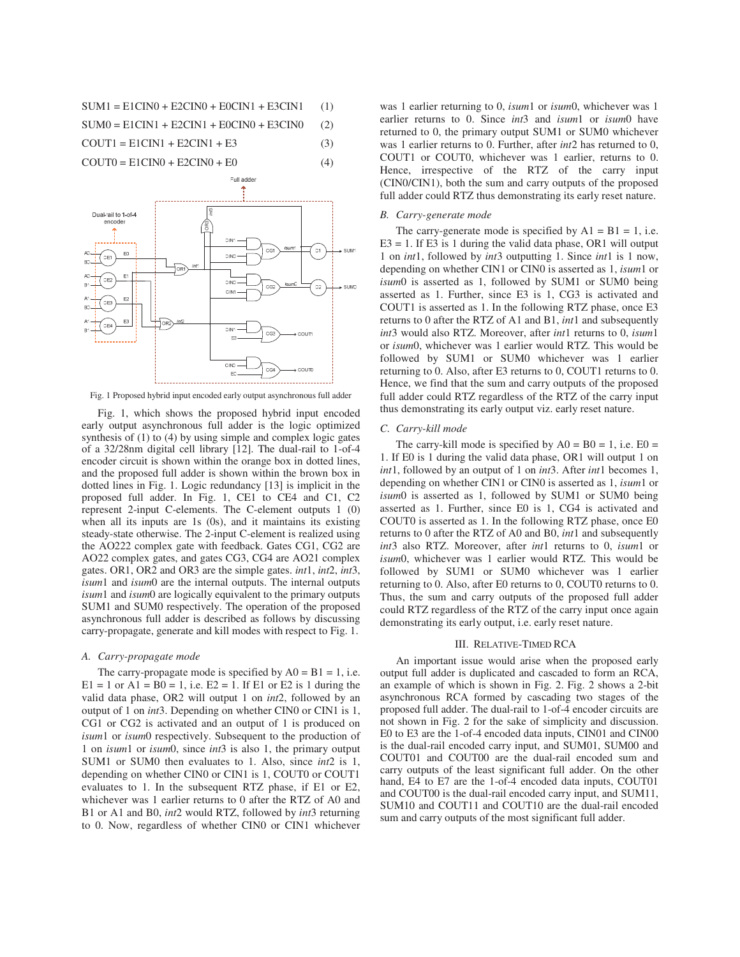$$
SUM1 = E1CINO + E2CINO + E0CINI + E3CINI \qquad (1)
$$

$$
SUM0 = E1CIN1 + E2CIN1 + E0CIN0 + E3CIN0 \qquad (2)
$$

$$
COUT1 = E1CIN1 + E2CIN1 + E3
$$
 (3)

 $COUT0 = E1CINO + E2CINO + E0$  (4)



Fig. 1 Proposed hybrid input encoded early output asynchronous full adder

 Fig. 1, which shows the proposed hybrid input encoded early output asynchronous full adder is the logic optimized synthesis of (1) to (4) by using simple and complex logic gates of a 32/28nm digital cell library [12]. The dual-rail to 1-of-4 encoder circuit is shown within the orange box in dotted lines, and the proposed full adder is shown within the brown box in dotted lines in Fig. 1. Logic redundancy [13] is implicit in the proposed full adder. In Fig. 1, CE1 to CE4 and C1, C2 represent 2-input C-elements. The C-element outputs 1 (0) when all its inputs are 1s (0s), and it maintains its existing steady-state otherwise. The 2-input C-element is realized using the AO222 complex gate with feedback. Gates CG1, CG2 are AO22 complex gates, and gates CG3, CG4 are AO21 complex gates. OR1, OR2 and OR3 are the simple gates. *int*1, *int*2, *int*3, *isum*1 and *isum*0 are the internal outputs. The internal outputs *isum*1 and *isum*0 are logically equivalent to the primary outputs SUM1 and SUM0 respectively. The operation of the proposed asynchronous full adder is described as follows by discussing carry-propagate, generate and kill modes with respect to Fig. 1.

# *A. Carry-propagate mode*

The carry-propagate mode is specified by  $A0 = B1 = 1$ , i.e.  $E1 = 1$  or  $A1 = B0 = 1$ , i.e.  $E2 = 1$ . If E1 or E2 is 1 during the valid data phase, OR2 will output 1 on *int*2, followed by an output of 1 on *int*3. Depending on whether CIN0 or CIN1 is 1, CG1 or CG2 is activated and an output of 1 is produced on *isum*1 or *isum*0 respectively. Subsequent to the production of 1 on *isum*1 or *isum*0, since *int*3 is also 1, the primary output SUM1 or SUM0 then evaluates to 1. Also, since *int*2 is 1, depending on whether CIN0 or CIN1 is 1, COUT0 or COUT1 evaluates to 1. In the subsequent RTZ phase, if E1 or E2, whichever was 1 earlier returns to 0 after the RTZ of A0 and B1 or A1 and B0, *int*2 would RTZ, followed by *int*3 returning to 0. Now, regardless of whether CIN0 or CIN1 whichever was 1 earlier returning to 0, *isum*1 or *isum*0, whichever was 1 earlier returns to 0. Since *int*3 and *isum*1 or *isum*0 have returned to 0, the primary output SUM1 or SUM0 whichever was 1 earlier returns to 0. Further, after *int*2 has returned to 0, COUT1 or COUT0, whichever was 1 earlier, returns to 0. Hence, irrespective of the RTZ of the carry input (CIN0/CIN1), both the sum and carry outputs of the proposed full adder could RTZ thus demonstrating its early reset nature.

#### *B. Carry-generate mode*

The carry-generate mode is specified by  $AI = B1 = 1$ , i.e.  $E3 = 1$ . If E3 is 1 during the valid data phase, OR1 will output 1 on *int*1, followed by *int*3 outputting 1. Since *int*1 is 1 now, depending on whether CIN1 or CIN0 is asserted as 1, *isum*1 or *isum*0 is asserted as 1, followed by SUM1 or SUM0 being asserted as 1. Further, since E3 is 1, CG3 is activated and COUT1 is asserted as 1. In the following RTZ phase, once E3 returns to 0 after the RTZ of A1 and B1, *int*1 and subsequently *int*3 would also RTZ. Moreover, after *int*1 returns to 0, *isum*1 or *isum*0, whichever was 1 earlier would RTZ. This would be followed by SUM1 or SUM0 whichever was 1 earlier returning to 0. Also, after E3 returns to 0, COUT1 returns to 0. Hence, we find that the sum and carry outputs of the proposed full adder could RTZ regardless of the RTZ of the carry input thus demonstrating its early output viz. early reset nature.

# *C. Carry-kill mode*

The carry-kill mode is specified by  $A0 = B0 = 1$ , i.e.  $E0 =$ 1. If E0 is 1 during the valid data phase, OR1 will output 1 on *int*1, followed by an output of 1 on *int*3. After *int*1 becomes 1, depending on whether CIN1 or CIN0 is asserted as 1, *isum*1 or *isum*0 is asserted as 1, followed by SUM1 or SUM0 being asserted as 1. Further, since E0 is 1, CG4 is activated and COUT0 is asserted as 1. In the following RTZ phase, once E0 returns to 0 after the RTZ of A0 and B0, *int*1 and subsequently *int*3 also RTZ. Moreover, after *int*1 returns to 0, *isum*1 or *isum*0, whichever was 1 earlier would RTZ. This would be followed by SUM1 or SUM0 whichever was 1 earlier returning to 0. Also, after E0 returns to 0, COUT0 returns to 0. Thus, the sum and carry outputs of the proposed full adder could RTZ regardless of the RTZ of the carry input once again demonstrating its early output, i.e. early reset nature.

#### III. RELATIVE-TIMED RCA

An important issue would arise when the proposed early output full adder is duplicated and cascaded to form an RCA, an example of which is shown in Fig. 2. Fig. 2 shows a 2-bit asynchronous RCA formed by cascading two stages of the proposed full adder. The dual-rail to 1-of-4 encoder circuits are not shown in Fig. 2 for the sake of simplicity and discussion. E0 to E3 are the 1-of-4 encoded data inputs, CIN01 and CIN00 is the dual-rail encoded carry input, and SUM01, SUM00 and COUT01 and COUT00 are the dual-rail encoded sum and carry outputs of the least significant full adder. On the other hand, E4 to E7 are the 1-of-4 encoded data inputs, COUT01 and COUT00 is the dual-rail encoded carry input, and SUM11, SUM10 and COUT11 and COUT10 are the dual-rail encoded sum and carry outputs of the most significant full adder.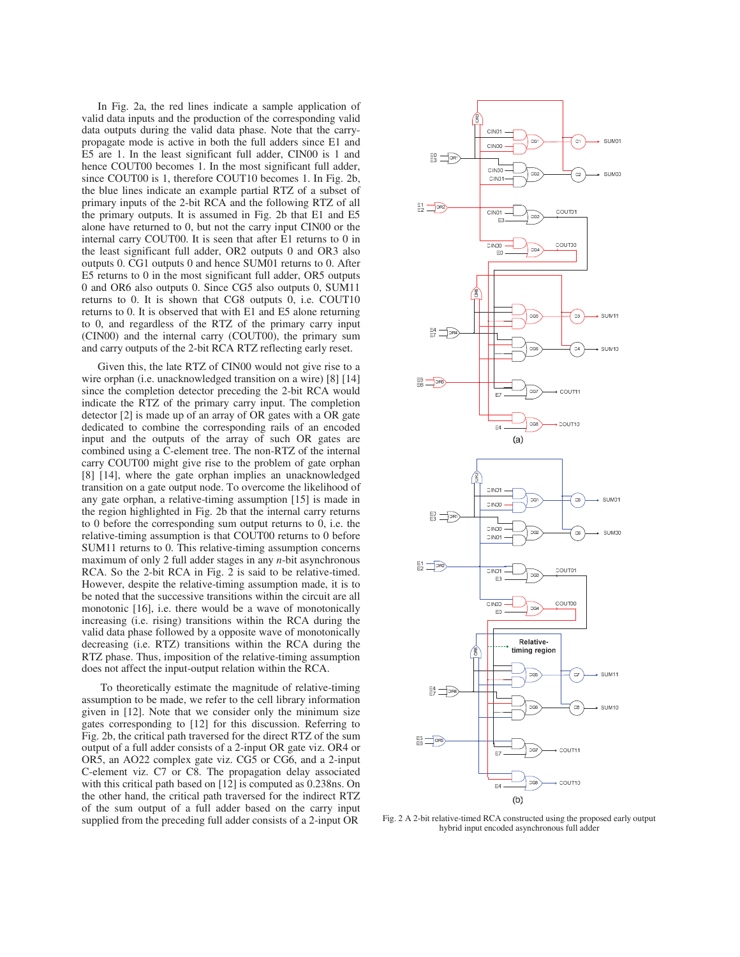In Fig. 2a, the red lines indicate a sample application of valid data inputs and the production of the corresponding valid data outputs during the valid data phase. Note that the carrypropagate mode is active in both the full adders since E1 and E5 are 1. In the least significant full adder, CIN00 is 1 and hence COUT00 becomes 1. In the most significant full adder, since COUT00 is 1, therefore COUT10 becomes 1. In Fig. 2b, the blue lines indicate an example partial RTZ of a subset of primary inputs of the 2-bit RCA and the following RTZ of all the primary outputs. It is assumed in Fig. 2b that E1 and E5 alone have returned to 0, but not the carry input CIN00 or the internal carry COUT00. It is seen that after E1 returns to 0 in the least significant full adder, OR2 outputs 0 and OR3 also outputs 0. CG1 outputs 0 and hence SUM01 returns to 0. After E5 returns to 0 in the most significant full adder, OR5 outputs 0 and OR6 also outputs 0. Since CG5 also outputs 0, SUM11 returns to 0. It is shown that CG8 outputs 0, i.e. COUT10 returns to 0. It is observed that with E1 and E5 alone returning to 0, and regardless of the RTZ of the primary carry input (CIN00) and the internal carry (COUT00), the primary sum and carry outputs of the 2-bit RCA RTZ reflecting early reset.

 Given this, the late RTZ of CIN00 would not give rise to a wire orphan (i.e. unacknowledged transition on a wire) [8] [14] since the completion detector preceding the 2-bit RCA would indicate the RTZ of the primary carry input. The completion detector [2] is made up of an array of OR gates with a OR gate dedicated to combine the corresponding rails of an encoded input and the outputs of the array of such OR gates are combined using a C-element tree. The non-RTZ of the internal carry COUT00 might give rise to the problem of gate orphan [8] [14], where the gate orphan implies an unacknowledged transition on a gate output node. To overcome the likelihood of any gate orphan, a relative-timing assumption [15] is made in the region highlighted in Fig. 2b that the internal carry returns to 0 before the corresponding sum output returns to 0, i.e. the relative-timing assumption is that COUT00 returns to 0 before SUM11 returns to 0. This relative-timing assumption concerns maximum of only 2 full adder stages in any *n*-bit asynchronous RCA. So the 2-bit RCA in Fig. 2 is said to be relative-timed. However, despite the relative-timing assumption made, it is to be noted that the successive transitions within the circuit are all monotonic [16], i.e. there would be a wave of monotonically increasing (i.e. rising) transitions within the RCA during the valid data phase followed by a opposite wave of monotonically decreasing (i.e. RTZ) transitions within the RCA during the RTZ phase. Thus, imposition of the relative-timing assumption does not affect the input-output relation within the RCA.

 To theoretically estimate the magnitude of relative-timing assumption to be made, we refer to the cell library information given in [12]. Note that we consider only the minimum size gates corresponding to [12] for this discussion. Referring to Fig. 2b, the critical path traversed for the direct RTZ of the sum output of a full adder consists of a 2-input OR gate viz. OR4 or OR5, an AO22 complex gate viz. CG5 or CG6, and a 2-input C-element viz. C7 or C8. The propagation delay associated with this critical path based on [12] is computed as 0.238ns. On the other hand, the critical path traversed for the indirect RTZ of the sum output of a full adder based on the carry input supplied from the preceding full adder consists of a 2-input  $\overrightarrow{OR}$  Fig. 2 A 2-bit relative-timed RCA constructed using the proposed early output



hybrid input encoded asynchronous full adder